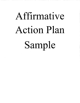# Affirmati **ve Action Plan**  Sample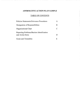## **AFFIRMATIVE ACTION PLAN SAMPLE**

ra mana kanya mana kaominina mpikambana ny kaominina mpikambana ny kaominina kaominina mpikambana ny k

# TABLE OF CONTENTS

| Policies Statements/Grievance Procedures                       |   |
|----------------------------------------------------------------|---|
| Designation of Responsibilities                                | B |
| Organizational Chart                                           | ⊖ |
| Reporting Problems/Barriers Identification<br>and Action Items | D |
| Goals and Timetables                                           | Н |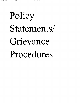# Policy Statements/ Grievance Procedures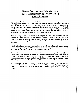# **Kansas Department of Administration Equal Employment Opportunity** *(EED)*  **Policy Statement**

As Secretary of the Department of Administration, I wish to hereby reaffirm my commitment to and support for ensuring that all individuals who have the necessary qualifications receive an equal opportunity to compete for employment and advancement within the Department of Administration. All employment transactions shall be made on the basis of an individual's qualifications without regard to race, color, religion, national origin, ancestry, age, disability status, or sex, (except where required by bona fide occupational qualifications). It is the responsibility of every employee to adhere to and promote this policy.

Further, all employees shall endeavor to create and promote a work environment that is free of unwelcome sexual advances, sexually harassing language, unwanted sexually suggestive remarks, or any other sexually harassing action. All employees are expected to develop and maintain respectful and professional relationships with the department's employees and customers.

Additionally, all management personnel shall support recruitment and career development plans which ensure equitable representation of minorities, women, and persons with disabilities in all job categories and maintain appropriate affirmative action records.

As a public employer, the Department of Administration has the duty and responsibility to adhere to the letter and spirit of the law in achieving its affirmative action goals and shall encourage all staff to support the achievement of these goals. Such goals do not imply preferential treatment or lower standards and should not be interpreted as imposed quotas. Rather, they are a reflection of the Department of Administration's commitment to diversity.

Kim Warren, with the D of A Personnel Office in the Office of Personnel Services, has been designated as the EEO Coordinator for the Department of Administration. Kim can be reached in Room 401-N, Landon State Office Building, 900 SW Jackson, Topeka, Kansas, 66612, (785) 296-4770.

م،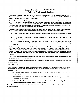### **Kansas Department of Administration 'Policy on Professional Conduct**

As a condition of employment, all employees of the Department of Administration are to be appropriate in their behavior and be respectful of their co-workers and the customers served by the department. Inappropriate, insulting, demeaning, or threatening behavior in the workplace will not be tolerated.

In particular, employees shall not engage in or tolerate any form of harassment, including sexual harassment, as defined below, or behavior that demonstrates hostility towards another individual because of race, color, religion, sex, age, national origin, or disability. Harassing behavior may include slurs, telling or circulating jokes, sharing inappropriate materials or making comments of a sexual nature, or making what could be reasonably determined to be inappropriate comments based on a person's race, color, religion, sex, age, national origin, or disability.

Additionally, the department will not tolerate inappropriate conduct that by itself does not rise to legally definable harassment. The Kansas statutes set forth personal conduct that may be grounds for formal disciplinary action. Specifically:

- K.S.A. 75-2949e(a)(4) "failure to maintain satisfactory and harmonious relationships with the public and fellow employees,"
- KS.A. 75-2949f (f) "participation in any action that would in any way seriously disrupt or disturb the normal operation of the agency...,"
- KS.A. 75-2949f(P) "exhibiting other personal conduct detrimental to state service which could cause undue disruption of work or endanger the safety of persons or property of others, as may be determined by the appointing authority. "

Employees who experience or observe conduct they believe to be contrary to this policy must immediately report that conduct to their supervisor, Office Director, or the Department's Personnel Office. Employees working shifts outside of 8:00A.M to 5:00P.M. can, in instances in which reporting an alleged act cannot/should not be delayed, contact the Communications Center (24/7) to have a Capitol Police Officer dispatched to the employee's work location. Instances of inappropriate behavior observed by or reported to supervisors and/or Office Directors must be immediately reported to the Department's Personnel Office for investigation.

It shall also be contrary to this policy to retaliate against any person who files a complaint, appears as a witness or provides information in the investigation of a complaint. '

Any employee who has been found in violation of this policy may be subject to appropriate disciplinary action, up to and , including termination.

#### Sexual Harassment

Sexual harassment is unlawful and contrary to the equal employment opportunity policy of the Department of Administration. Unwelcome sexual advances, requests for sexual favors or other verbal or physical conduct ofa sexual nature constitute sexual harassment when:

- (1) submission to such conduct is made either explicitly or implicitly a term or condition of an individual's employment,
- (2) submission to or rejection of such conduct by an individual is used as the basis for employment decisions affecting such individual, or
- (3) such conduct has the purpose or effect of unreasonably interfering with an individual's work performance or creating an intimidating, hostile, or offensive working environment.

Sexual harassment can be experienced by third party individuals who may see, hear or feel the effects of such behavior<br>between individuals.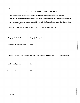#### UNDERSTANDING & ACCEPTANCE OF POLICY

I have received a copy of the Department of Administration's policy on Professional Conduct.

I have read the policy in its entirety and have been provided with the opportunity to ask questions about it.

I fully understand this policy and my responsibility to seek clarification from my supervisor if at any time I am unclear about the policy's requirements.

I fully understand that compliance with this policy is a condition of employment.

| Employee's State ID         | Employee's Signature                                                                                        | Date |
|-----------------------------|-------------------------------------------------------------------------------------------------------------|------|
| Witness/DofA Representative | Date                                                                                                        |      |
|                             | Must be completed by Employee and Supervisor. Please return this completed form to D of A Personnel Office. |      |
| Employee's Signature        | Date                                                                                                        |      |

Supervisor's Signature Date

Form DA-324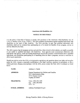#### **Americans with Disabilities Act**

#### **NOTICE TO THE PUBLIC**

, .. '.

医骨折 医皮肤 计分类数据

- 村 - 1780年7月4日に1940年19月15日1月1日 10月7日

It is the policy of the State of Kansas to comply with provisions of the Americans with Disabilities Act, 42 U.S.C.A. Section 12101, et seq. ("ADA"). The ADA prohibits discrimination against qualified individuals with disabilities on the basis of their disability. The ADA provides, in part, that qualified individuals with disabilities shall not be excluded from participating in or be denied the benefits of any program, service or activity offered by the State.

The ADA requires that all programs services and activities, when viewed in their entirety, are readily accessible to and usable by qualified individuals with disabilities. State agencies must communicate effectively with individuals with speech, visual and hearing impairments and provide auxiliary communication aids to qualified individuals with disabilities participating in or benefiting from the State's programs, services or activities to afford equal opportunity.

Should you wish to review the ADA or its interpretive regulations, ask questions about your rights and remedies under the ADA, request a reasonable modification to the State's policies, practices or procedures, or file a written grievance alleging noncompliance with the ADA, please contact the State ADA Coordinator as listed below.

| NAME:                  | Anthony A. Fadale                                                                                                   |
|------------------------|---------------------------------------------------------------------------------------------------------------------|
| <b>ADDRESS:</b>        | Kansas Department for Children and Families<br>DCF Administration Bldg.<br>555 S. Kansas Avenue<br>Topeka, KS 66603 |
| <b>TELEPHONE:</b>      | Voice (785) 296-1389<br>Fax: (785) 296-4960<br><b>TTY: 711</b>                                                      |
| <b>E-MAIL ADDRESS:</b> | Anthony.Fadale@dcf.ks.gov                                                                                           |

*Strong Families Make A Strong Kansas*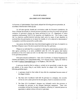#### STATE OF KANSAS

..... \_. -- .. : .;:~-.:-:-.~.:~:~~ .. --... -.--.--.--- .. -- - - -- - -- ---- -- <sup>~</sup>- - ...... : : .. ~ : ~ :.-.-::- -.. : .. :~:: .- ........ -\_ .. -.: .... ~-::-.. :~~:~.:-:.~-- ... ~-~~-:: .. . ~:: .. -

**SAUDEER BERENGATION** 

. \_.\_ ... --.:-: .... :-...

医无脊髓痨 医内质性骨折

**CONSTRUCTION CONTROLS INTO A REPORT OF STATE** 

この時に、この時の時間にはその数をかけたことをなくなっている場合をあると思われるからその気分ですようです。

#### ADA GRIEVANCE PROCEDURE

As Secretary of Administration, I have hereby adopted the following grievance procedure, in accordance with Executive Order 92-154.

For all state agencies, boards and commissions under the Governor's jurisdiction, the State of Kansas has adopted an internal grievance procedure providing for prompt and equitable resolution of grievances alleging any action prohibited by the U.S. Department of Justice regulations implementing Title II of the American with Disabilities Act. Title II states, in part, that "no otherwise qualified disabled individual shall, solely by reason of such disability, be excluded from the participation in, be denied the benefits of, or be subjected to discrimination" in programs or activities sponsored by a public entity.

Any person who feels they have been discriminated against on the basis of a disability by the State of Kansas in any of the above-quoted activities may file a grievance.

Whenever an individual files a complaint (or other agency administration process) with a state agency pertaining to an action prohibited under the ADA, the agency shall decline jurisdiction of the ADA matter and refer it to the State ADA Coordinator for handling pursuant to this grievance procedure.

Grievances should be addressed to: State ADA Coordinator, c/o Kansas Department for Children and Families, DCF Administration Bldg., 555 S, Kansas Avenue, Topeka, KS 66603 or bye-mail at Anthony.Fadale@dcf.kg.gov or via telephone, (785) 296-1389.

A grievance should be filed in writing or verbally (to be transcribed), contain the name and address of the person filing it, and briefly describe the alleged ADA violation. The following guidelines apply:

- 1. A grievance should be filed within 45 days after the complainant becomes aware of the alleged violation.
- 2. The State ADA Coordinator shall refer the grievance to a designee, who normally will be the ADA contact person for the state agency, board or commission involved.
- 3. The State ADA Coordinator's designee may informally resolve the grievance or investigate the grievance as the designee determines appropriate. These rules contemplate informal but thorough investigations, affording all interested persons an opportunity to submit evidence relevant to a grievance,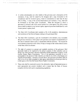4. A written determination as to the validity of the grievance and a description of the resolution, if any, shall be issued by the designee and a copy forwarded to the complainant and the involved agency, board or commission no later than 60 days after its filing. A copy of the written determination and resolution, if any, shall also be forwarded to the State ADA Coordinator. When the designee to whom a grievance is referred is the ADA contact person for a state agency, the ADA contact person shall be subject to any internal agency approval processes established by such contact person's agency head.

Wandi wasani Kizancin

m Marqadı terili dirilerin içi

35. PERMIT ASSAULT

1 HEREBERG AP 25 HOURS OF

- 5, The State ADA Coordinator shall maintain a file of all complaints, determinations and resolutions of the State of Kansas relating to the grievances filed.
- 6. The State ADA Coordinator, upon the Coordinator's own: initiative, may reconsider the grievance decision or either party to the grievance can request a reconsideration of the case in instances where a party is dissatisfied with the resolution. The request for reconsideration should be made within 30 days of receipt of the written determination to the State ADA Coordinator.
- 7. The right of a person to a prompt and equitahle resolution of the grievance tiled hereunder shall not be impaired by the person's pursuit of other remedies such as filing of an ADA grievance with the responsible federal department or agency or the Kansas Human Rights Commission. Use of this grievance procedure is not a prerequisite to the pursuit of other remedies provided. by the ADA or the Kansas Act Against Discrimination. However, as noted above, this grievance procedure shall be used in lieu of any other complaint or state agency administrative process provided by a state agency other than the Kansas Human Rights Commission.
- 8. These rules shall be construed to protect the substantive rights of interested person to meet appropriate due process standards and to assure that the State of Kansas complies with the ADA and its implementing regulations.

Ŕ

经公司公开的 医光谱定常数的 医眼窦病毒眼睛检查 经报报者的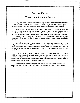#### **STATE OF** KANSAS

### **WORKPLACE VIOLENCE POLICY**

The safety and security of State of Kansas employees and customers are very important. Threats, threatening behavior, acts of violence, or any related conduct which disrupts another's work performance or the organization's ability to execute its mission will not be tolerated.

Any person who makes threats, exhibits threatening behavior, or engages in violent acts on state-owned or leased property may be removed from the premises pending the outcome of an investigation. Threats, threatening behavior, or other acts of violence executed off state-owned or leased property but directed at state employees or members of the public while conducting official state business, is a violation of this policy. Off-site threats include but are not limited to threats made via the telephone, fax, electronic or conventional mail, or any other communication medium.

Violations of this policy will lead to disciplinary action that may include dismissal, arrest,. and prosecution. In addition, if the source of such inappropriate behavior is a member of the public, the response may also include barring the person(s) from state-owned or leased premises, termination of business relationships with that individual, and/or prosecution of the person(s) involved.

Employees are responsible for notifying the agency's Personnel Office of any threats which they have witnessed, received, or have been told that another person has witnessed or received. Employees should also report any behavior they have witnessed which they regard as threatening or violent when that behavior is job related or might be carried out on state-owned or leased property or in connection with state employment.

Each employee who receives a protective or restraining order which lists state-owned or leased premises as a protected area is required to provide the Personnel Office with a copy of such order.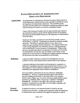## KANSAS DEPARTMENT OF ADMINISTRATION GRIEVANCE PROCEDURE

#### Applicability

The Department of Administration Grievance Procedure shall be posted on all the Department's official bulletin boards and shall be available for use by all Department of Administration employees. The availability of this grievance procedure shall not be interpreted as granting any additional rights under the Kansas Civil Service Act, and any amendments thereto.

Copies of the Grievance Procedure shall be made available upon request to any Department employee, along with the standard form(s) for processing grievances, by Division/Office Directors or the Department of Administration Personnel Office.

Employees who lodge a grievance are to be free from restraint, coercion, discrimination, or reprisal. Complainants are assured the maximum possible anonymity. The filing of a grievance shall in no way reflect on an employee's good standing with the Department. If an employee believes he or she is being subjected to one of the above actions, a separate grievance shall be filed directly with the Secretary of Administration. Wherever this grievance procedure provides for any grievance to be taken to the Secretary of Administration, the Secretary may rule directly on the matter, or may appoint one or more persons as a hearing panel to gather pertinent statements and information and make recommendations to the Secretary.

**Definition** A grievance shall be defined as a statement of dissatisfaction over any condition of work, which allegedly has an adverse effect on the employee.

> A grievance shall not include matters involving demotion, suspension, or dismissal of a permanent employee; employee performance reviews, or any other subject for which a method of settlement or any appeal procedure is established under appropriate Kansas Statutes or Regulations.

> Grievances shall be redressed by the process outlined in "Grievance Procedure A". However, a separate procedure may be followed for a grievance alleging discrimination on the basis of race, color, ancestry, national origin, religion, age, sex, sexual orientation, gender identity, sexual harassment, or disability status. This process is outlined in "Grievance Procedure B". In addition to the right to file a grievance under this procedure, all employees have the right to file civil rights complaints with appropriate enforcement agencies.

General Provisions An aggrieved employee must represent himself or herself at all steps of the grievance procedure. Another person employed within the Department of Administration may be selected by the aggrieved employee to assist at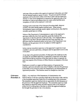each step of the procedure at the aggrieved employee's discretion, provided that the selected employee agrees to assist. The grievant and the selected employee will be allowed to utilize work time to meet with the supervisor, director or other person designated to respond at the applicable step of the procedure so long as such absence does not create undue hardship upon completion of work in the employee's work unit.

Meetings held at each step of the Grievance Procedure shall, wherever possible, take place during regular working hours. When unusual circumstances require meetings outside regular working hours, they shall be mutually agreed upon in writing.

Failure of the Department of Administration to reply to the employee's grievance within the time limits specified, grants the employee the opportunity to take the grievance to the next step. If an employee fails to appeal from one step to the next within the time limits specified, the grievance shall be considered settled on the basis of the Department's last decision, and the grievance will not be subject to further appeal or consideration.

In the event an immediate supervisor or the supervisor's supervisor is not available to process a grievance, a designee shall be appointed to serve in his or her place.

At any step in the grievance procedure, if either party (the employee on the one hand, the immediate supervisor or supervisor's supervisor on the other hand) believes that an extension of the time limit for action is required, the party may request of the Division or Office Director an extension of the time limit.

Employees covered by an approved Memorandum of Agreement that includes a grievance procedure may elect if eligible, at the time the grievance is first filed, to be covered by either the Department or the Memorandum of Agreement procedure. This decision cannot be changed at a later time.

**Grievance**  Procedure A STEP 1: Any employee of the Department of Administration who believes that he or she has a grievance shall take up the matter orally with his or her immediate supervisor within five (5) working days of its occurrence. The immediate supervisor shall provide an opportunity for full discussion of the grievance with the aggrieved employee. The immediate supervisor shall then attempt to adjust the matter and shall respond orally to the employee within five  $(5)$  working days of the date on which the aggrieved employee first brought the grievance to his or her attention.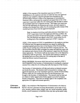STEP 2: If the response of the immediate supervisor in STEP 1 is unsatisfactory to the employee and does not settle the issue, the aggrieved employee may complete a standard grievance fonn furnished by the Division/Office Director's Office or the Department of Administration Personnel Office, and present the completed and signed fonn to his or her supervisor's supervisor within five (5) working days after the date on which the immediate supervisor's response was due. This higher level supervisor shall provide opportunity for discussion and review, and shall respond in writing on the standard form within five (5) working days after receipt of the standard grievance form from the aggrieved employee.

Note: In situations involving a particular grievance where there is no STEP 2 supervisory level in the employee's Division or Office, the grievance procedure will proceed from STEP 1 to STEP 3. In such a case, the employee may appeal to the STEP 3 level within five (5) working days of the immediate supervisor's STEP 1 response.

STEP 3: If the response in STEP 2 is unsatisfactory to the employee and does not settle the issue, the aggrieved employee may appeal by sending the completed standard grievance form to the Director of the Division/Office within five  $(5)$  working days of the date the STEP 2 response was due. The Division/Office Director shall investigate the matter and shall then meet with the employee and whatever levels of the employee's supervision the Director deems appropriate. The Director shall use any means at his or her disposal to satisfactorily settle the grievance. The Director shall respond in writing on the standard grievance form within ten (10) working days of the date on which the Director received the grievance.

FINAL DECISION: Grievances which have not been resolved in STEP 3 may be appealed to the Secretary of Administration by sending the completed standard form within five (5) working days after the response of the Director.

The Secretary of Administration will take such actions as deemed necessary and decide the matter. This decision shall be transmitted in writing to the aggrieved employee, his or her immediate supervisor, and the Division/Office Director within ten (10) working days from the date the grievance was brought to the Secretary of Administration. This decision shall be final and not subject to further appeal unless further appeal is provided by Kansas Statute or Regulation. (This does not abridge rights to file complaints with appropriate civil rights enforcement agencies.)

**Grievance Procedure B** STEP 1: Any employee of the Department of Administration who believes that he or she has a grievance involving discrimination on the basis of race, color, ancestry, national origin, religion, age, sex, sexual orientation, gender identity, sexual harassment, or disability status may take up the matter orally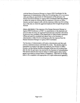with the Human Resources Manager or Agency EEO Coordinator for the Department of Administration within five (5) working days of its occurrence. After providing an opportunity for full discussion of the grievance, the Human Resources Manager or Agency EEO Coordinator shall then attempt to adjust the matter by working with the employee's Division or Office Director and shall respond orally with the employee within ten (10) working days of the date on which the aggrieved employee first brought the grievance forward.

FINAL DECISION: If the response of the Human Resources Manager or Agency EEO Coordinator in STEP 1 is unsatisfactory to the employee and does not settle the issue, the aggrieved employee may complete a Procedure B grievance fonn (available in the Department of Administration Personnel Office) and send the completed and signed form to the Secretary of Administration within five (5) working days after the response from the Human Resources Manager or Agency EEO Coordinator.

The Secretary of Administration will make a detennination and take such actions as deemed necessary and decide the matter. This decision shall be transmitted in writing to the aggrieved employee, the Division or Office Director, and the Human Resources Manager within ten (10) working days after the date the grievance was received by the Secretary of Administration. This decision shall be final and not subject to further appeal unless further appeal is provided by Kansas Statute or Regulation. (This does not abridge . rights to file complaints with appropriate civil rights enforcement agencies.)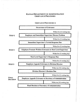#### KANSAS DEPARTMENT OF ADMINISTRATION GRIEVANCE PROCESSES

#### GRIEVANCE PROCEDURE A

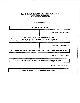### KANSAS DEPARTMENT OF ADMINISTRATION GRIEVANCE PROCESSES

### GRIEVANCE PROCEDURE B

| <b>Occurrence of Grievance</b>                                                             |                                |  |
|--------------------------------------------------------------------------------------------|--------------------------------|--|
|                                                                                            | Within five $(5)$ working days |  |
| <b>Employee and Human Resources Manager</b><br>(or Agency EEO Coordinator) Discuss Problem |                                |  |
|                                                                                            | Within ten (10) working days   |  |
| Human Resources Manager's (or Agency EEO Coordinator's) Response Due                       |                                |  |
|                                                                                            | Within five (5) working days   |  |
| <b>Employee Appeals Grievance to Secretary of Administration</b>                           |                                |  |
|                                                                                            | Within ten (10) working days   |  |
| <b>Final Decision of Secretary of Administration</b>                                       |                                |  |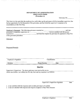#### DEPARTMENT OF ADMINISTRATION GRIEVANCE FORM (Procedure A)

Grievance No.

This form is to be used after the employee has orally taken up the grievance with the immediate supervisor, has had an opportunity for full discussion of the grievance, and has found the supervisor's response to be unsatisfactory at the First Step.

| Employee's Statement: The following grievance occurred on |                                                             | and was                              |  |
|-----------------------------------------------------------|-------------------------------------------------------------|--------------------------------------|--|
| presented to immediate supervisor on                      |                                                             | . I am not satisfied with the answer |  |
| received on                                               | and therefore request the grievance be appeared to Step Two |                                      |  |
| of the grievance procedure:                               |                                                             |                                      |  |
| Grievance:                                                |                                                             |                                      |  |
|                                                           |                                                             |                                      |  |
|                                                           |                                                             |                                      |  |
|                                                           |                                                             |                                      |  |
| <b>Requested Remedy:</b>                                  |                                                             |                                      |  |
|                                                           |                                                             |                                      |  |
|                                                           |                                                             |                                      |  |
|                                                           |                                                             |                                      |  |
|                                                           |                                                             |                                      |  |
|                                                           |                                                             |                                      |  |
| Employee's Signature                                      | Classification                                              |                                      |  |

Division **Division** Phone Number Date

#### Step Two

Supervisor's Supervisor: The above grievance was received by me on which was (within / not within) the five day limit and my response is as follows:

Supervisor's Supervisor Signature Date

( ) I am satisfied with this response and consider grievance to be settled.

( ) I am not satisfied with response and request an appeal to Step Three because: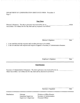#### DEPARTMENT OF ADMINISTRATION GRIEVANCE FORM - Procedure A Page 2

#### **Step Three**

Director's Response: The above grievance was received by me on \_\_\_\_\_\_\_\_\_\_\_\_\_\_ which was (within / not within) the five day limit and my response is as follows:

Director's Signature Date

( ) I am satisfied with this response and consider grievance to be settled.

( ) I am not satisfied with response and request an appeal to Secretary of Administration because:

Employee's Signature Date

#### **Final Decision**

Secretary of Administration's Response: The above grievance was received by me on which was (within / not within) the five day limit and my decision is as follows:

Secretary's Signature

Date

Distribution: Grievant

Immediate Supervisor Supervisor's Supervisor Division or Office Director Secretary of Administration Personnel Officer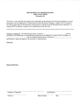#### **DEPARTMENT OF ADMINISTRATION GRIEVANCE FORM (procedure B)**

Ľ

This form is to be used after the employee has orally taken up the grievance involving discrimination or sexual harassment with the Department of Administration Human Resources Manager or Agency EEO Coordinator, has had an opportunity for full discussion of the grievance, and has found the Human Resource Manager's or Agency EEO Coordinator's response to be unsatisfactory at the first step.

| Employee's Statement: The following grievance occurred on                                          | and was |  |
|----------------------------------------------------------------------------------------------------|---------|--|
| presented to the Department of Administration Human Resources Manager or Agency EEO Coordinator on |         |  |
| I am not satisfied with the answer received on                                                     |         |  |
| and therefore, request an appeal to the Secretary of Administration.                               |         |  |

Grievance:

Requested Remedy:

Employee's Signature Classification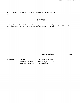DEPARTMENT OF ADMINISTRATION GRIEVANCE FORM - Procedure B Page 2

#### **Final Decision**

Secretary of Administration's Response: The above grievance was received by me on \_\_\_\_\_ which was (within / not within) the five day limit and my decision is as follows:

Secretary's Signature

Ç,

ЮQ.

Date

Distribution: Grievant

 $\omega$ A. ÷.

Immediate Supervisor Supervisor's Supervisor Division or Office Director Secretary of Administration Personnel Officer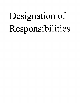# Designation of Responsibilities

e 197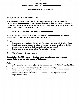#### **STATE OF KANSAS KANSAS DEPARTMENT OF**

#### AFFIRMATIVE ACTION PLAN

#### DESIGNATION OF RESPONSIBILITIES

A successful Affirmative Action Plan for Equal Employment Opportunity in the Kansas Department of **interest is contingent on the efforts of many individuals.** This section summarizes the roles of key personnel involved in this process. Please note that the duties listed may not be exhaustive of the duties perfurmed.

L Secretary of the Kansas Department of **\_\_\_\_ \_** 

Responsibility: The Secretary of the Kansas Department of **-----------------** has primary responsibility for ensuring equal employment within the agency\_

Duties:

- 1. To designate an agency Equal Employment Opportunity Manager and ADA Coordinator.
- 2. To make decisions and changes in policy, procedures and accommodations for disabled persons as may be needed to facilitate equal employment opportunity.
- 3. To take decisive action on complaints of alleged discrimination.

#### II. EEO Manager - ADA Coordinator

Responsibility: The EEO Manager ~ ADA Coordinator administers the equal opportunity program for the agency under the auspices of the Secretary.

Duties:

- 1. Updates, monitors and evaluates the effectiveness of the agency's Affirmative Action Plan.
- 2. Disseminates information to managers, supervisors and employees. '
- 3. Ensures qualified applicants with disabilities are given reasonable accommodation in all employment related activities.
- 4. Identifies and resolves EEO problems and concerns; and investigates complaints of alleged discrimination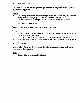#### ill. Personnel Director

Responsibility: To ensure that all personnel programs are *in* compliance with the agency's equal opportunity policy.

#### Duties:

I-- I

- I. To develop, maintain and evaluate employment and other related programs to ensure compliance with the agency's and the state's affirmative action plan.
- 2. To assist in efforts to resolve problems and complaints related to EEO areas.

#### IV. Managers and Supervisors

Responsibility: To promote equal employment for all employees.

Duties:

- 1. To assist in identifying and resolving problems and eliminating barriers which inhibit equal employment opportunity.
- 2. To support the objectives and initiatives of the agency's affirmative action plan.
- 3. To communicate the agency's equal opportunity commitment to all assigned employees.

#### V. Employees

Responsibility: To support all laws, rules and regulations that govern equal employment opportunity in the workplace.

#### Duties:

1. To obey *EED* laws, rules and regulations.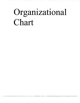# **Organizational Chart**

- \_-\_ ,-\_ - 1.\_ ! ------------

mt yr. y

i Turkiyet<br>Turkiyeti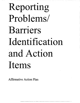# Reporting Problems/ Barriers Identification and Action Items

Affirmative Action Plan

- ..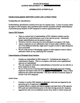# **STATE OF KANSAS<br>KANSAS DEPARTMENT OF**  $\blacksquare$

#### AFFIRMATIVE ACfION PLAN

#### PROBLEMIBARRIER IDENTIFICATION AND ACTION ITEMS

#### Problem/Barrier Identification

Problem/barrier identification is broken down into two separate areas: 1) areas of concern within the agency's EEO program, and 2) problems and/or barriers associated with the underutilization of protected group members in EEO categories in various organizational units.

#### Agency EED Program

- There is a general lack of understanding of EEO utilization statistics and the belief that most underutiIizations occur in the minority groups. Statistically, female underutilizations are the greatest concern.
- Workforce diversity issues have not been addressed on an agency-wide basis.
- Agency employees are not sufficiently aware of career paths available to them, nor of the additional skills they might need to acquire in order to make themselves more promotable.
- We are in the process of developing a system to track employee turnover data to determine if there are any underlying EEO concerns.

#### Underutilization of Protected Group Members

----~~---------------

- Females are underutilized in EEO category  $B -$  Professional and category  $F -$ Administrative Support. This is on an agency-wide basis; some organizational units are not underutilized.
- The only categories which show underutilization of minorities are one with five or fewer employees in them.
- We are in the process of moving approximately 280 Employment and Training employees and support staff over to the Many of these Many of these employees are women and minorities. This move will have an adverse impact in several of the EED categories.

#### Action Items

- Continue to monitor EEO statistics to determine what areas are impacted by the • Continue to monitor EEO statistics to determine what areas are impacted by the upcoming move of employees to  $\bullet$  Continue efforts to educate and inform managers and supervisors of the agencies
- EEO goals and underutilizations prior to the interviewing process for vacancies.
- Aggressively seek out non-traditional sources from which to recruit women and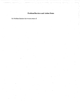# **Problem/Barriers and Action Items**

No Problem Barriers that we are aware of.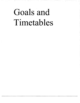# Goals and Timetables

a da bayan da wasan ƙwallon ƙafa ta ƙasar Ingila.<br>'Yan ƙasar Ingila

i province

- 31

ખાલી જ જિ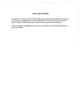#### **Goals and Timetables**

I

1------------------

The agency will continue to provide equal employment opportunities for females and minorities to encourage more appointments and career advancement. We will continue our recruitment efforts to target females and minorities so that we can maintain a diverse workforce.

We provide signed and updated policy statements to be posted on all official bulletin boards to each of the Offices.